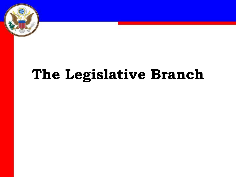

## **The Legislative Branch**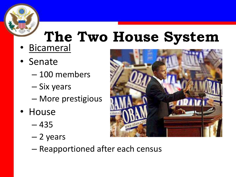# **The Two House System**

- Bicameral
- Senate
	- 100 members
	- Six years
	- More prestigious
- House
	- 435
	- 2 years



– Reapportioned after each census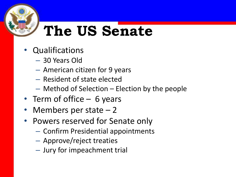### **The US Senate**

- Qualifications
	- 30 Years Old
	- American citizen for 9 years
	- Resident of state elected
	- Method of Selection Election by the people
- Term of office 6 years
- Members per state  $-2$
- Powers reserved for Senate only
	- Confirm Presidential appointments
	- Approve/reject treaties
	- Jury for impeachment trial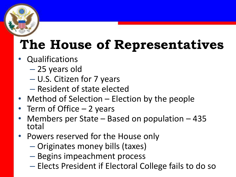### **The House of Representatives**

- **Qualifications** 
	- 25 years old
	- U.S. Citizen for 7 years
	- Resident of state elected
- Method of Selection Election by the people
- Term of Office  $-2$  years
- Members per State Based on population 435 total
- Powers reserved for the House only
	- Originates money bills (taxes)
	- Begins impeachment process
	- Elects President if Electoral College fails to do so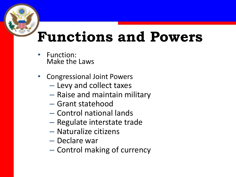### **Functions and Powers**

- Function: Make the Laws
- Congressional Joint Powers
	- Levy and collect taxes
	- Raise and maintain military
	- Grant statehood
	- Control national lands
	- Regulate interstate trade
	- Naturalize citizens
	- Declare war
	- Control making of currency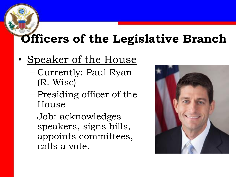### **Officers of the Legislative Branch**

#### • Speaker of the House

- Currently: Paul Ryan (R. Wisc)
- Presiding officer of the House
- Job: acknowledges speakers, signs bills, appoints committees, calls a vote.

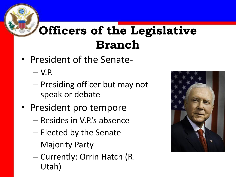### **Officers of the Legislative Branch**

- President of the Senate-
	- $-V.P.$
	- Presiding officer but may not speak or debate
- President pro tempore
	- Resides in V.P.'s absence
	- Elected by the Senate
	- Majority Party
	- Currently: Orrin Hatch (R. Utah)

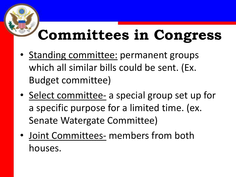### **Committees in Congress**

- Standing committee: permanent groups which all similar bills could be sent. (Ex. Budget committee)
- Select committee- a special group set up for a specific purpose for a limited time. (ex. Senate Watergate Committee)
- Joint Committees- members from both houses.